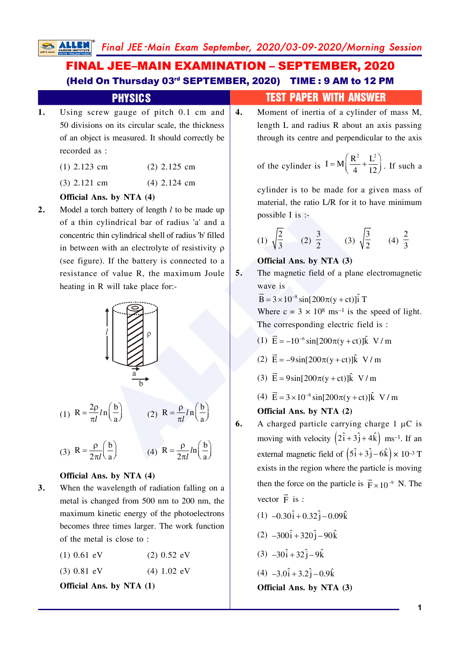ALLEN Final JEE-Main Exam September, 2020/03-09-2020/Morning Session

 $5.$ 

6.

# **FINAL JEE-MAIN EXAMINATION - SEPTEMBER, 2020** (Held On Thursday 03rd SEPTEMBER, 2020) TIME: 9 AM to 12 PM

Using screw gauge of pitch 0.1 cm and 1. 50 divisions on its circular scale, the thickness of an object is measured. It should correctly be recorded as :

**PHYSICS** 

- $(1)$  2.123 cm  $(2)$  2.125 cm
- $(3)$  2.121 cm  $(4)$  2.124 cm

#### Official Ans. by NTA (4)

 $2.$ Model a torch battery of length  $l$  to be made up of a thin cylindrical bar of radius 'a' and a concentric thin cylindrical shell of radius 'b' filled in between with an electrolyte of resistivity  $\rho$ (see figure). If the battery is connected to a resistance of value R, the maximum Joule heating in R will take place for:-



#### Official Ans. by NTA (4)

- $3.$ When the wavelength of radiation falling on a metal is changed from 500 nm to 200 nm, the maximum kinetic energy of the photoelectrons becomes three times larger. The work function of the metal is close to:
	- $(1)$  0.61 eV  $(2)$  0.52 eV
	- $(3) 0.81$  eV  $(4) 1.02 eV$

Official Ans. by NTA (1)

## **TEST PAPER WITH ANSWER**

Moment of inertia of a cylinder of mass M, 4. length L and radius R about an axis passing through its centre and perpendicular to the axis

of the cylinder is 
$$
I = M \left( \frac{R^2}{4} + \frac{L^2}{12} \right)
$$
. If such a

cylinder is to be made for a given mass of material, the ratio L/R for it to have minimum possible I is :-

(1) 
$$
\sqrt{\frac{2}{3}}
$$
 (2)  $\frac{3}{2}$  (3)  $\sqrt{\frac{3}{2}}$  (4)  $\frac{2}{3}$ 

### Official Ans. by NTA (3)

The magnetic field of a plane electromagnetic wave is

 $\vec{B} = 3 \times 10^{-8} \sin[200\pi(y + ct)]\hat{i}$  T Where  $c = 3 \times 10^8$  ms<sup>-1</sup> is the speed of light. The corresponding electric field is:

- (1)  $\vec{E} = -10^{-6} \sin[200\pi (y + ct)]\hat{k}$  V/m
- (2)  $\vec{E} = -9\sin[200\pi(v+ct)]\hat{k}$  V/m
- (3)  $\vec{E} = 9\sin[200\pi(v+ct)]\hat{k}$  V/m
- (4)  $\vec{E} = 3 \times 10^{-8} \sin[200\pi (v + ct)]\hat{k}$  V/m

#### Official Ans. by NTA (2)

- A charged particle carrying charge  $1 \mu C$  is moving with velocity  $(2\hat{i} + 3\hat{j} + 4\hat{k})$  ms<sup>-1</sup>. If an external magnetic field of  $(5\hat{i} + 3\hat{j} - 6\hat{k}) \times 10^{-3}$  T exists in the region where the particle is moving then the force on the particle is  $\vec{F} \times 10^{-9}$  N. The vector  $\vec{F}$  is :
	- $(1)$  -0.30 $\hat{i}$  + 0.32 $\hat{j}$  0.09 $\hat{k}$
	- $(2)$  -300 $\hat{i}$  + 320 $\hat{i}$  90 $\hat{k}$
	- $(3)$   $-30\hat{i} + 32\hat{j} 9\hat{k}$

$$
(4) -3.0\hat{i} + 3.2\hat{j} - 0.9\hat{k}
$$

Official Ans. by NTA (3)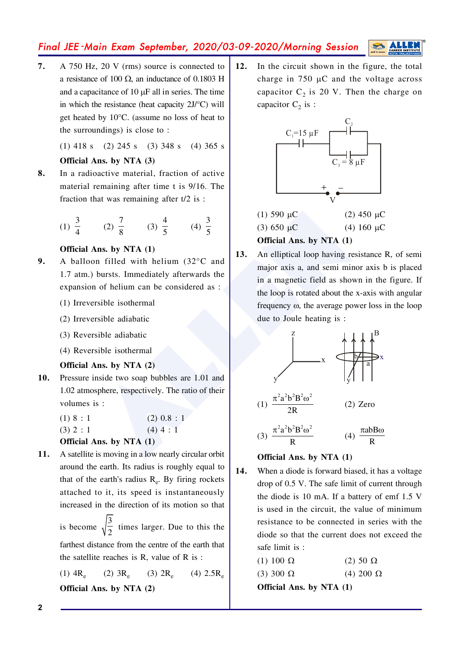## Final JEE-Main Exam September, 2020/03-09-2020/Morning Session

 $7.$ A 750 Hz, 20 V (rms) source is connected to a resistance of 100  $\Omega$ , an inductance of 0.1803 H and a capacitance of 10  $\mu$ F all in series. The time in which the resistance (heat capacity  $2J$ <sup>o</sup>C) will get heated by  $10^{\circ}$ C. (assume no loss of heat to the surroundings) is close to:

 $(1)$  418 s  $(2)$  245 s  $(3)$  348 s  $(4)$  365 s

## Official Ans. by NTA (3)

8. In a radioactive material, fraction of active material remaining after time t is 9/16. The fraction that was remaining after  $t/2$  is:

(1) 
$$
\frac{3}{4}
$$
 (2)  $\frac{7}{8}$  (3)  $\frac{4}{5}$  (4)  $\frac{3}{5}$ 

## Official Ans. by NTA (1)

- $9<sub>1</sub>$ A balloon filled with helium (32°C and 1.7 atm.) bursts. Immediately afterwards the expansion of helium can be considered as :
	- (1) Irreversible isothermal
	- (2) Irreversible adiabatic
	- (3) Reversible adiabatic
	- (4) Reversible isothermal

## Official Ans. by NTA (2)

Pressure inside two soap bubbles are 1.01 and 10. 1.02 atmosphere, respectively. The ratio of their volumes is:

| <b>Official Ans. by NTA (1)</b> |               |
|---------------------------------|---------------|
| $(3)$ 2 : 1                     | $(4)$ 4 : 1   |
| (1) 8 : 1                       | $(2)$ 0.8 : 1 |

 $11.$ A satellite is moving in a low nearly circular orbit around the earth. Its radius is roughly equal to that of the earth's radius R<sub>e</sub>. By firing rockets attached to it, its speed is instantaneously increased in the direction of its motion so that

> is become  $\sqrt{\frac{3}{2}}$  times larger. Due to this the farthest distance from the centre of the earth that the satellite reaches is  $R$ , value of  $R$  is:

> $(1)$  4R<sub>e</sub>  $(2) 3R<sub>e</sub>$  $(3) 2R<sub>e</sub>$  $(4) 2.5R<sub>e</sub>$ Official Ans. by NTA (2)

 $12.$ In the circuit shown in the figure, the total charge in  $750 \mu$ C and the voltage across capacitor  $C_2$  is 20 V. Then the charge on capacitor  $C_2$  is :



## Official Ans. by NTA (1)

13. An elliptical loop having resistance R, of semi major axis a, and semi minor axis b is placed in a magnetic field as shown in the figure. If the loop is rotated about the x-axis with angular frequency  $\omega$ , the average power loss in the loop due to Joule heating is :

$$
\frac{z}{\sqrt{1-\frac{\pi^{2}a^{2}b^{2}B^{2}\omega^{2}}{2R}}}
$$
\n(1) 
$$
\frac{\pi^{2}a^{2}b^{2}B^{2}\omega^{2}}{R}
$$
\n(2) Zero\n(3) 
$$
\frac{\pi^{2}a^{2}b^{2}B^{2}\omega^{2}}{R}
$$
\n(4) 
$$
\frac{\pi abBo}{R}
$$

## Official Ans. by NTA (1)

14. When a diode is forward biased, it has a voltage drop of 0.5 V. The safe limit of current through the diode is 10 mA. If a battery of emf 1.5 V is used in the circuit, the value of minimum resistance to be connected in series with the diode so that the current does not exceed the safe limit is :

|                    | <b>Official Ans. by NTA (1)</b> |                   |  |
|--------------------|---------------------------------|-------------------|--|
| $(3)$ 300 $\Omega$ |                                 | (4) 200 $\Omega$  |  |
| (1) 100 Ω          |                                 | $(2)$ 50 $\Omega$ |  |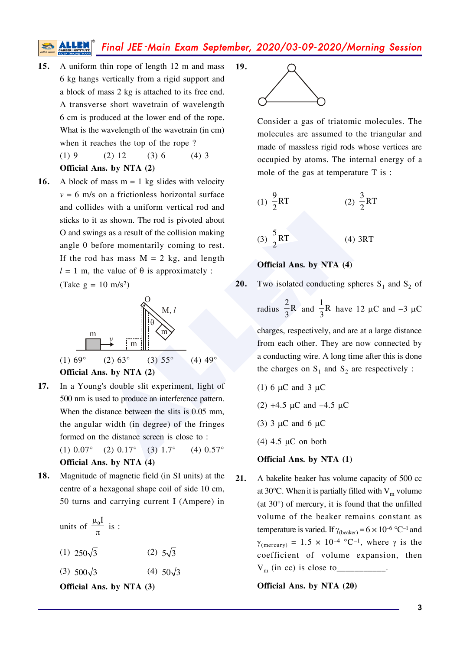Final JEE-Main Exam September, 2020/03-09-2020/Morning Session

19.

- 15. A uniform thin rope of length 12 m and mass 6 kg hangs vertically from a rigid support and a block of mass 2 kg is attached to its free end. A transverse short wavetrain of wavelength 6 cm is produced at the lower end of the rope. What is the wavelength of the wavetrain (in cm) when it reaches the top of the rope?  $(1)9$  $(2) 12$  $(3) 6$  $(4)$  3
	- Official Ans. by NTA (2)
- A block of mass  $m = 1$  kg slides with velocity 16.  $v = 6$  m/s on a frictionless horizontal surface and collides with a uniform vertical rod and sticks to it as shown. The rod is pivoted about O and swings as a result of the collision making angle  $\theta$  before momentarily coming to rest. If the rod has mass  $M = 2$  kg, and length  $l = 1$  m, the value of  $\theta$  is approximately : (Take  $g = 10$  m/s<sup>2</sup>)



- In a Young's double slit experiment, light of 17. 500 nm is used to produce an interference pattern. When the distance between the slits is 0.05 mm, the angular width (in degree) of the fringes formed on the distance screen is close to:  $(4)$  0.57 $^{\circ}$  $(3)$  1.7°  $(1) 0.07^\circ$  $(2)$  0.17° Official Ans. by NTA (4)
- 18. Magnitude of magnetic field (in SI units) at the centre of a hexagonal shape coil of side 10 cm, 50 turns and carrying current I (Ampere) in

| units of $\frac{\mu_0 I}{\pi}$ is : |                     |  |
|-------------------------------------|---------------------|--|
| $(1)$ 250 $\sqrt{3}$                | $(2)$ 5 $\sqrt{3}$  |  |
| $(3)$ 500 $\sqrt{3}$                | $(4)$ 50 $\sqrt{3}$ |  |
| <b>Official Ans. by NTA (3)</b>     |                     |  |



Consider a gas of triatomic molecules. The molecules are assumed to the triangular and made of massless rigid rods whose vertices are occupied by atoms. The internal energy of a mole of the gas at temperature T is :

(1) 
$$
\frac{9}{2}
$$
RT (2)  $\frac{3}{2}$ RT

$$
(3) \frac{5}{2}RT \t(4) 3RT
$$

#### Official Ans. by NTA (4)

20. Two isolated conducting spheres  $S_1$  and  $S_2$  of

radius  $\frac{2}{3}R$  and  $\frac{1}{3}R$  have 12 µC and -3 µC

charges, respectively, and are at a large distance from each other. They are now connected by a conducting wire. A long time after this is done the charges on  $S_1$  and  $S_2$  are respectively :

- (1) 6  $\mu$ C and 3  $\mu$ C
- (2)  $+4.5 \mu C$  and  $-4.5 \mu C$
- $(3)$  3 µC and 6 µC
- $(4)$  4.5 µC on both

#### Official Ans. by NTA (1)

21. A bakelite beaker has volume capacity of 500 cc at 30 $^{\circ}$ C. When it is partially filled with V<sub>m</sub> volume (at  $30^{\circ}$ ) of mercury, it is found that the unfilled volume of the beaker remains constant as temperature is varied. If  $\gamma_{\text{(beaker)}} = 6 \times 10^{-6} \text{ °C}^{-1}$  and  $\gamma_{\text{(mercury)}} = 1.5 \times 10^{-4} \text{ °C}^{-1}$ , where  $\gamma$  is the coefficient of volume expansion, then  $V_m$  (in cc) is close to \_\_

Official Ans. by NTA (20)